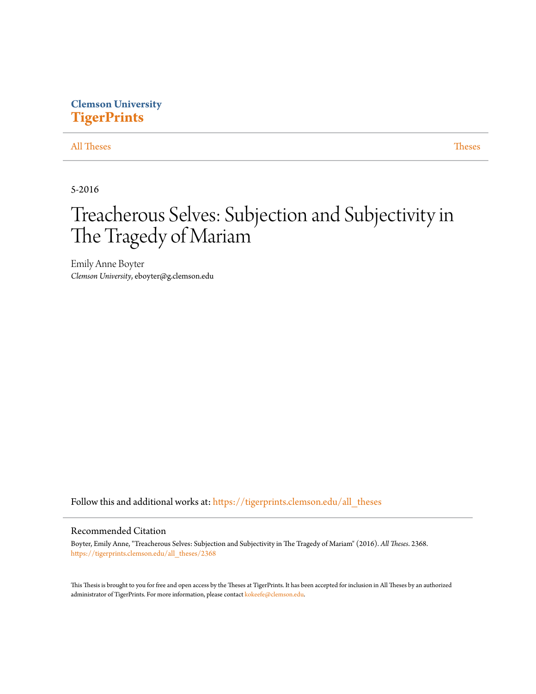# **Clemson University [TigerPrints](https://tigerprints.clemson.edu?utm_source=tigerprints.clemson.edu%2Fall_theses%2F2368&utm_medium=PDF&utm_campaign=PDFCoverPages)**

## [All Theses](https://tigerprints.clemson.edu/all_theses?utm_source=tigerprints.clemson.edu%2Fall_theses%2F2368&utm_medium=PDF&utm_campaign=PDFCoverPages) **[Theses](https://tigerprints.clemson.edu/theses?utm_source=tigerprints.clemson.edu%2Fall_theses%2F2368&utm_medium=PDF&utm_campaign=PDFCoverPages)**

5-2016

# Treacherous Selves: Subjection and Subjectivity in The Tragedy of Mariam

Emily Anne Boyter *Clemson University*, eboyter@g.clemson.edu

Follow this and additional works at: [https://tigerprints.clemson.edu/all\\_theses](https://tigerprints.clemson.edu/all_theses?utm_source=tigerprints.clemson.edu%2Fall_theses%2F2368&utm_medium=PDF&utm_campaign=PDFCoverPages)

#### Recommended Citation

Boyter, Emily Anne, "Treacherous Selves: Subjection and Subjectivity in The Tragedy of Mariam" (2016). *All Theses*. 2368. [https://tigerprints.clemson.edu/all\\_theses/2368](https://tigerprints.clemson.edu/all_theses/2368?utm_source=tigerprints.clemson.edu%2Fall_theses%2F2368&utm_medium=PDF&utm_campaign=PDFCoverPages)

This Thesis is brought to you for free and open access by the Theses at TigerPrints. It has been accepted for inclusion in All Theses by an authorized administrator of TigerPrints. For more information, please contact [kokeefe@clemson.edu](mailto:kokeefe@clemson.edu).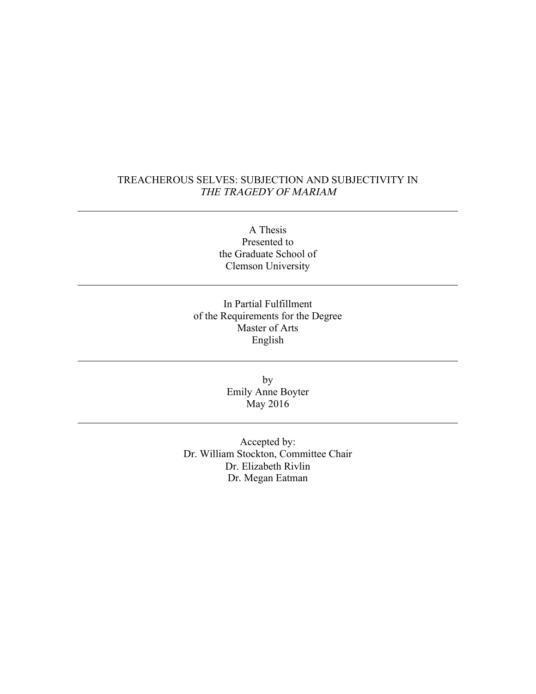# TREACHEROUS SELVES: SUBJECTION AND SUBJECTIVITY IN THE TRAGEDY OF MARIAM

A Thesis Presented to the Graduate School of Clemson University

In Partial Fulfillment of the Requirements for the Degree Master of Arts English

> by Emily Anne Boyter May 2016

Accepted by: Dr. William Stockton, Committee Chair Dr. Elizabeth Rivlin Dr. Megan Eatman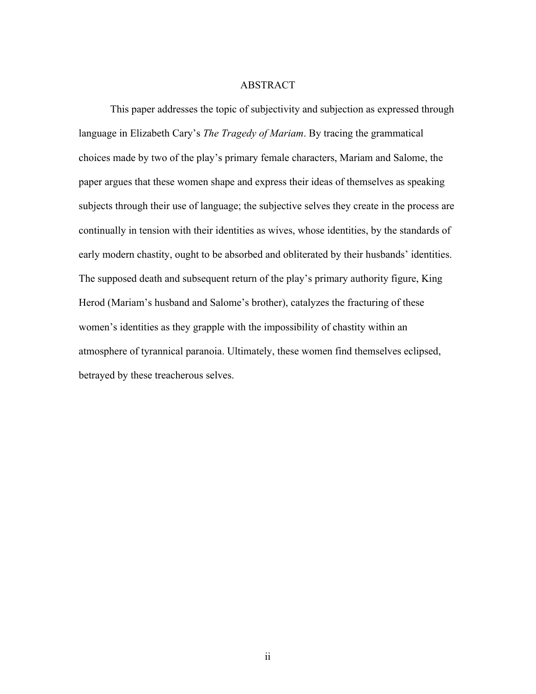#### ABSTRACT

This paper addresses the topic of subjectivity and subjection as expressed through language in Elizabeth Cary's *The Tragedy of Mariam*. By tracing the grammatical choices made by two of the play's primary female characters, Mariam and Salome, the paper argues that these women shape and express their ideas of themselves as speaking subjects through their use of language; the subjective selves they create in the process are continually in tension with their identities as wives, whose identities, by the standards of early modern chastity, ought to be absorbed and obliterated by their husbands' identities. The supposed death and subsequent return of the play's primary authority figure, King Herod (Mariam's husband and Salome's brother), catalyzes the fracturing of these women's identities as they grapple with the impossibility of chastity within an atmosphere of tyrannical paranoia. Ultimately, these women find themselves eclipsed, betrayed by these treacherous selves.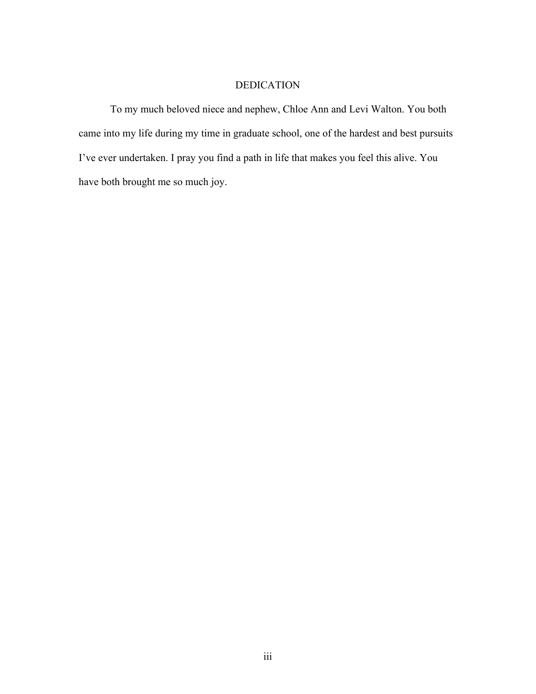# DEDICATION

To my much beloved niece and nephew, Chloe Ann and Levi Walton. You both came into my life during my time in graduate school, one of the hardest and best pursuits I've ever undertaken. I pray you find a path in life that makes you feel this alive. You have both brought me so much joy.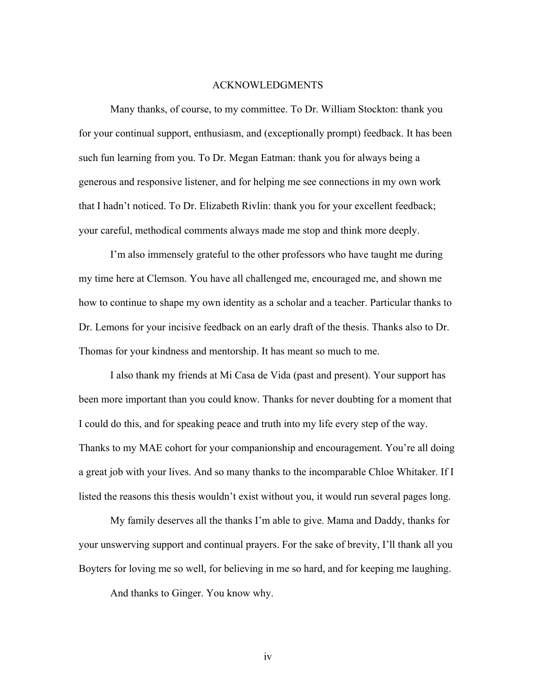#### ACKNOWLEDGMENTS

Many thanks, of course, to my committee. To Dr. William Stockton: thank you for your continual support, enthusiasm, and (exceptionally prompt) feedback. It has been such fun learning from you. To Dr. Megan Eatman: thank you for always being a generous and responsive listener, and for helping me see connections in my own work that I hadn't noticed. To Dr. Elizabeth Rivlin: thank you for your excellent feedback; your careful, methodical comments always made me stop and think more deeply.

I'm also immensely grateful to the other professors who have taught me during my time here at Clemson. You have all challenged me, encouraged me, and shown me how to continue to shape my own identity as a scholar and a teacher. Particular thanks to Dr. Lemons for your incisive feedback on an early draft of the thesis. Thanks also to Dr. Thomas for your kindness and mentorship. It has meant so much to me.

I also thank my friends at Mi Casa de Vida (past and present). Your support has been more important than you could know. Thanks for never doubting for a moment that I could do this, and for speaking peace and truth into my life every step of the way. Thanks to my MAE cohort for your companionship and encouragement. You're all doing a great job with your lives. And so many thanks to the incomparable Chloe Whitaker. If I listed the reasons this thesis wouldn't exist without you, it would run several pages long.

My family deserves all the thanks I'm able to give. Mama and Daddy, thanks for your unswerving support and continual prayers. For the sake of brevity, I'll thank all you Boyters for loving me so well, for believing in me so hard, and for keeping me laughing.

And thanks to Ginger. You know why.

iv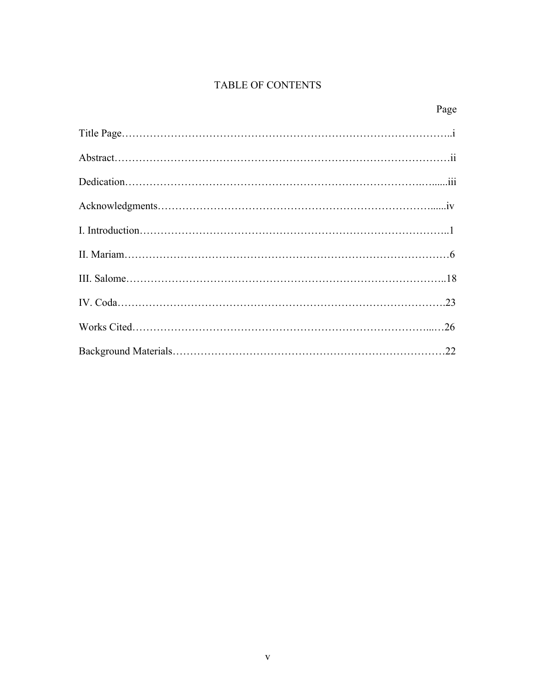# TABLE OF CONTENTS

| Page |
|------|
|      |
|      |
|      |
|      |
|      |
|      |
|      |
|      |
|      |
|      |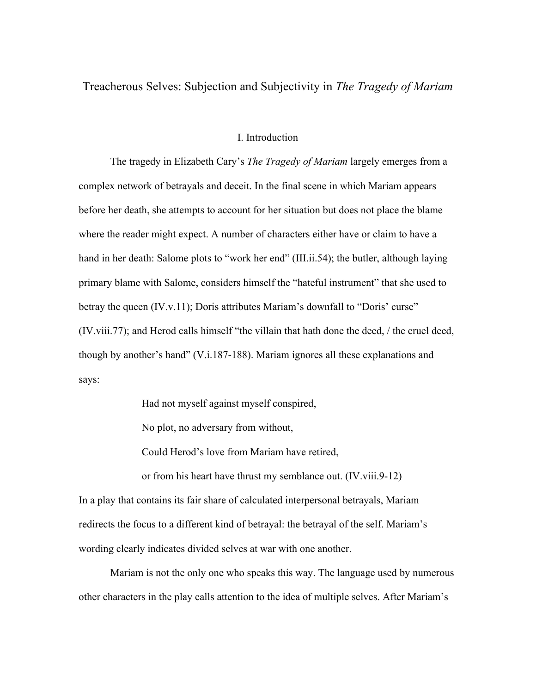Treacherous Selves: Subjection and Subjectivity in *The Tragedy of Mariam*

## I. Introduction

The tragedy in Elizabeth Cary's *The Tragedy of Mariam* largely emerges from a complex network of betrayals and deceit. In the final scene in which Mariam appears before her death, she attempts to account for her situation but does not place the blame where the reader might expect. A number of characters either have or claim to have a hand in her death: Salome plots to "work her end" (III.ii.54); the butler, although laying primary blame with Salome, considers himself the "hateful instrument" that she used to betray the queen (IV.v.11); Doris attributes Mariam's downfall to "Doris' curse" (IV.viii.77); and Herod calls himself "the villain that hath done the deed, / the cruel deed, though by another's hand" (V.i.187-188). Mariam ignores all these explanations and says:

Had not myself against myself conspired,

No plot, no adversary from without,

Could Herod's love from Mariam have retired,

or from his heart have thrust my semblance out. (IV.viii.9-12) In a play that contains its fair share of calculated interpersonal betrayals, Mariam redirects the focus to a different kind of betrayal: the betrayal of the self. Mariam's wording clearly indicates divided selves at war with one another.

Mariam is not the only one who speaks this way. The language used by numerous other characters in the play calls attention to the idea of multiple selves. After Mariam's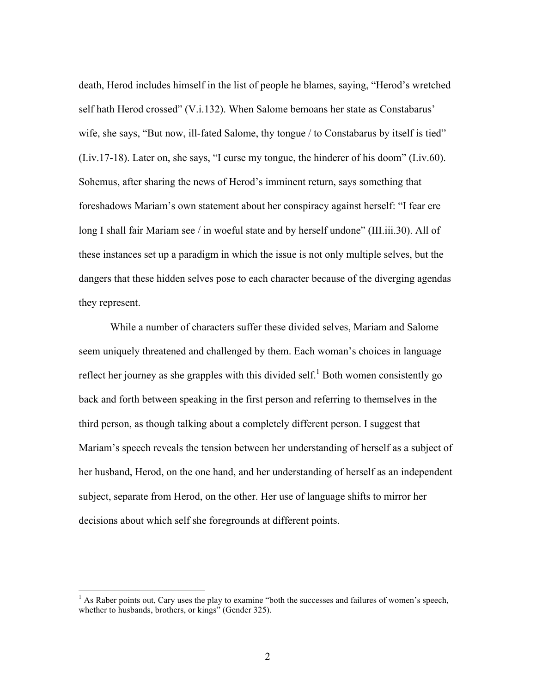death, Herod includes himself in the list of people he blames, saying, "Herod's wretched self hath Herod crossed" (V.i.132). When Salome bemoans her state as Constabarus' wife, she says, "But now, ill-fated Salome, thy tongue / to Constabarus by itself is tied" (I.iv.17-18). Later on, she says, "I curse my tongue, the hinderer of his doom" (I.iv.60). Sohemus, after sharing the news of Herod's imminent return, says something that foreshadows Mariam's own statement about her conspiracy against herself: "I fear ere long I shall fair Mariam see / in woeful state and by herself undone" (III.iii.30). All of these instances set up a paradigm in which the issue is not only multiple selves, but the dangers that these hidden selves pose to each character because of the diverging agendas they represent.

While a number of characters suffer these divided selves, Mariam and Salome seem uniquely threatened and challenged by them. Each woman's choices in language reflect her journey as she grapples with this divided self.<sup>1</sup> Both women consistently go back and forth between speaking in the first person and referring to themselves in the third person, as though talking about a completely different person. I suggest that Mariam's speech reveals the tension between her understanding of herself as a subject of her husband, Herod, on the one hand, and her understanding of herself as an independent subject, separate from Herod, on the other. Her use of language shifts to mirror her decisions about which self she foregrounds at different points.

 $<sup>1</sup>$  As Raber points out, Cary uses the play to examine "both the successes and failures of women's speech,</sup> whether to husbands, brothers, or kings" (Gender 325).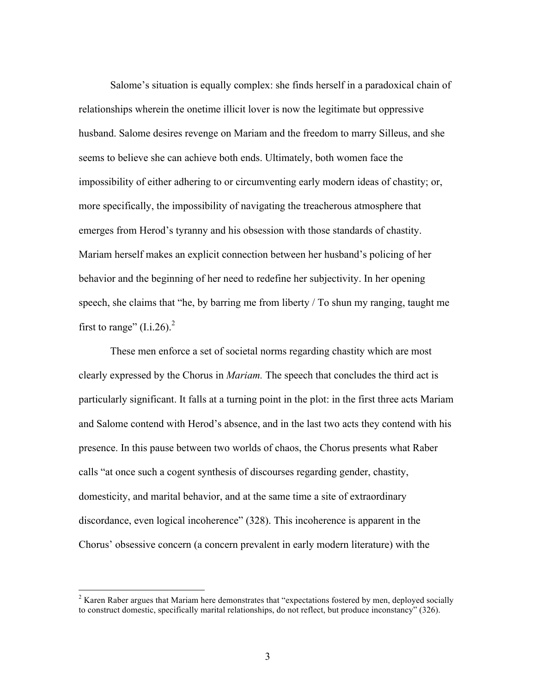Salome's situation is equally complex: she finds herself in a paradoxical chain of relationships wherein the onetime illicit lover is now the legitimate but oppressive husband. Salome desires revenge on Mariam and the freedom to marry Silleus, and she seems to believe she can achieve both ends. Ultimately, both women face the impossibility of either adhering to or circumventing early modern ideas of chastity; or, more specifically, the impossibility of navigating the treacherous atmosphere that emerges from Herod's tyranny and his obsession with those standards of chastity. Mariam herself makes an explicit connection between her husband's policing of her behavior and the beginning of her need to redefine her subjectivity. In her opening speech, she claims that "he, by barring me from liberty / To shun my ranging, taught me first to range"  $(I.i.26)$ .<sup>2</sup>

These men enforce a set of societal norms regarding chastity which are most clearly expressed by the Chorus in *Mariam.* The speech that concludes the third act is particularly significant. It falls at a turning point in the plot: in the first three acts Mariam and Salome contend with Herod's absence, and in the last two acts they contend with his presence. In this pause between two worlds of chaos, the Chorus presents what Raber calls "at once such a cogent synthesis of discourses regarding gender, chastity, domesticity, and marital behavior, and at the same time a site of extraordinary discordance, even logical incoherence" (328). This incoherence is apparent in the Chorus' obsessive concern (a concern prevalent in early modern literature) with the

 $2$  Karen Raber argues that Mariam here demonstrates that "expectations fostered by men, deployed socially to construct domestic, specifically marital relationships, do not reflect, but produce inconstancy" (326).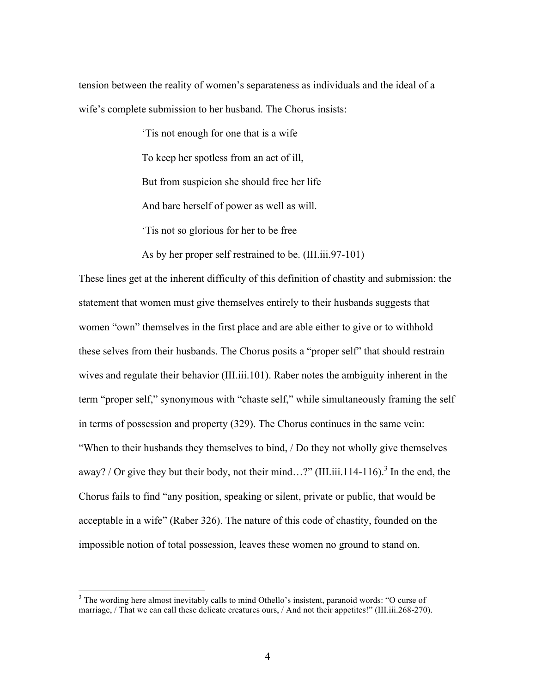tension between the reality of women's separateness as individuals and the ideal of a wife's complete submission to her husband. The Chorus insists:

'Tis not enough for one that is a wife

To keep her spotless from an act of ill,

But from suspicion she should free her life

And bare herself of power as well as will.

'Tis not so glorious for her to be free

As by her proper self restrained to be. (III.iii.97-101)

These lines get at the inherent difficulty of this definition of chastity and submission: the statement that women must give themselves entirely to their husbands suggests that women "own" themselves in the first place and are able either to give or to withhold these selves from their husbands. The Chorus posits a "proper self" that should restrain wives and regulate their behavior (III.iii.101). Raber notes the ambiguity inherent in the term "proper self," synonymous with "chaste self," while simultaneously framing the self in terms of possession and property (329). The Chorus continues in the same vein: "When to their husbands they themselves to bind, / Do they not wholly give themselves away? / Or give they but their body, not their mind...?" (III.iii.114-116).<sup>3</sup> In the end, the Chorus fails to find "any position, speaking or silent, private or public, that would be acceptable in a wife" (Raber 326). The nature of this code of chastity, founded on the impossible notion of total possession, leaves these women no ground to stand on.

 $3$  The wording here almost inevitably calls to mind Othello's insistent, paranoid words: "O curse of marriage, / That we can call these delicate creatures ours, / And not their appetites!" (III.iii.268-270).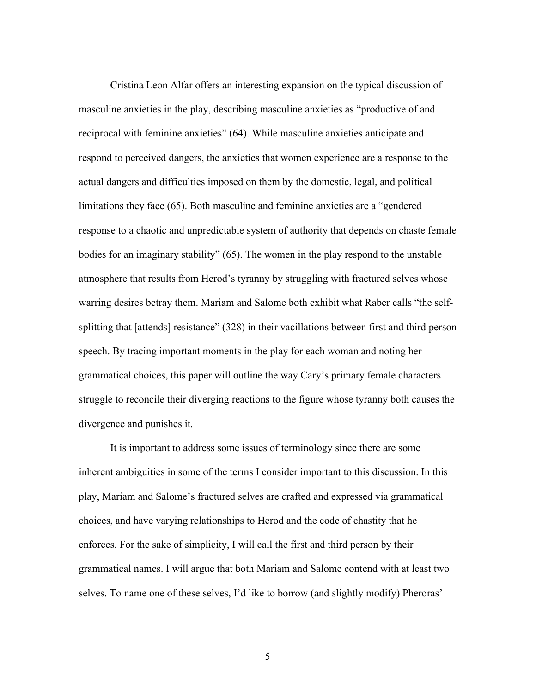Cristina Leon Alfar offers an interesting expansion on the typical discussion of masculine anxieties in the play, describing masculine anxieties as "productive of and reciprocal with feminine anxieties" (64). While masculine anxieties anticipate and respond to perceived dangers, the anxieties that women experience are a response to the actual dangers and difficulties imposed on them by the domestic, legal, and political limitations they face (65). Both masculine and feminine anxieties are a "gendered response to a chaotic and unpredictable system of authority that depends on chaste female bodies for an imaginary stability" (65). The women in the play respond to the unstable atmosphere that results from Herod's tyranny by struggling with fractured selves whose warring desires betray them. Mariam and Salome both exhibit what Raber calls "the selfsplitting that [attends] resistance" (328) in their vacillations between first and third person speech. By tracing important moments in the play for each woman and noting her grammatical choices, this paper will outline the way Cary's primary female characters struggle to reconcile their diverging reactions to the figure whose tyranny both causes the divergence and punishes it.

It is important to address some issues of terminology since there are some inherent ambiguities in some of the terms I consider important to this discussion. In this play, Mariam and Salome's fractured selves are crafted and expressed via grammatical choices, and have varying relationships to Herod and the code of chastity that he enforces. For the sake of simplicity, I will call the first and third person by their grammatical names. I will argue that both Mariam and Salome contend with at least two selves. To name one of these selves, I'd like to borrow (and slightly modify) Pheroras'

5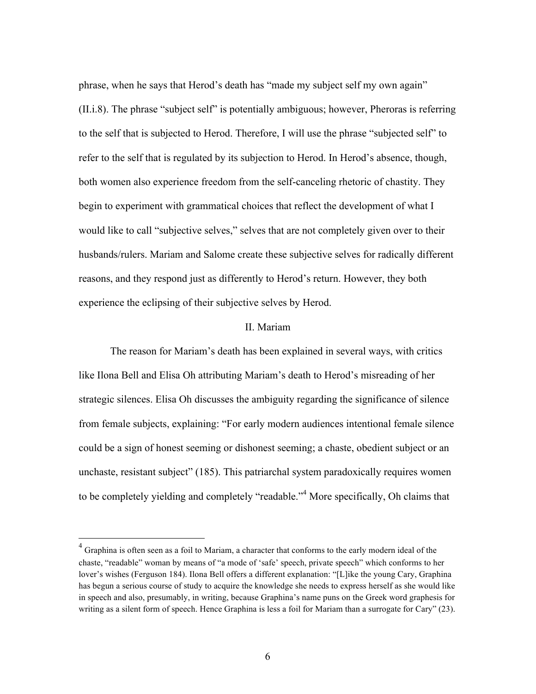phrase, when he says that Herod's death has "made my subject self my own again" (II.i.8). The phrase "subject self" is potentially ambiguous; however, Pheroras is referring to the self that is subjected to Herod. Therefore, I will use the phrase "subjected self" to refer to the self that is regulated by its subjection to Herod. In Herod's absence, though, both women also experience freedom from the self-canceling rhetoric of chastity. They begin to experiment with grammatical choices that reflect the development of what I would like to call "subjective selves," selves that are not completely given over to their husbands/rulers. Mariam and Salome create these subjective selves for radically different reasons, and they respond just as differently to Herod's return. However, they both experience the eclipsing of their subjective selves by Herod.

## II. Mariam

The reason for Mariam's death has been explained in several ways, with critics like Ilona Bell and Elisa Oh attributing Mariam's death to Herod's misreading of her strategic silences. Elisa Oh discusses the ambiguity regarding the significance of silence from female subjects, explaining: "For early modern audiences intentional female silence could be a sign of honest seeming or dishonest seeming; a chaste, obedient subject or an unchaste, resistant subject" (185). This patriarchal system paradoxically requires women to be completely yielding and completely "readable."<sup>4</sup> More specifically, Oh claims that

<sup>&</sup>lt;sup>4</sup> Graphina is often seen as a foil to Mariam, a character that conforms to the early modern ideal of the chaste, "readable" woman by means of "a mode of 'safe' speech, private speech" which conforms to her lover's wishes (Ferguson 184). Ilona Bell offers a different explanation: "[L]ike the young Cary, Graphina has begun a serious course of study to acquire the knowledge she needs to express herself as she would like in speech and also, presumably, in writing, because Graphina's name puns on the Greek word graphesis for writing as a silent form of speech. Hence Graphina is less a foil for Mariam than a surrogate for Cary" (23).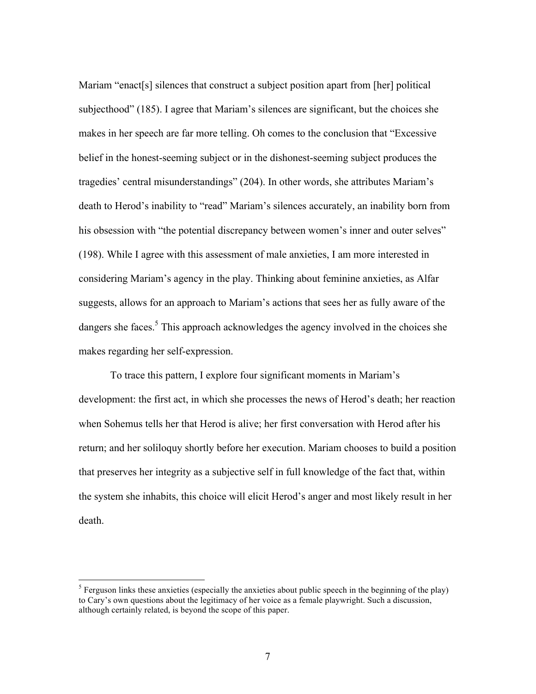Mariam "enact[s] silences that construct a subject position apart from [her] political subjecthood" (185). I agree that Mariam's silences are significant, but the choices she makes in her speech are far more telling. Oh comes to the conclusion that "Excessive belief in the honest-seeming subject or in the dishonest-seeming subject produces the tragedies' central misunderstandings" (204). In other words, she attributes Mariam's death to Herod's inability to "read" Mariam's silences accurately, an inability born from his obsession with "the potential discrepancy between women's inner and outer selves" (198). While I agree with this assessment of male anxieties, I am more interested in considering Mariam's agency in the play. Thinking about feminine anxieties, as Alfar suggests, allows for an approach to Mariam's actions that sees her as fully aware of the dangers she faces.<sup>5</sup> This approach acknowledges the agency involved in the choices she makes regarding her self-expression.

To trace this pattern, I explore four significant moments in Mariam's development: the first act, in which she processes the news of Herod's death; her reaction when Sohemus tells her that Herod is alive; her first conversation with Herod after his return; and her soliloquy shortly before her execution. Mariam chooses to build a position that preserves her integrity as a subjective self in full knowledge of the fact that, within the system she inhabits, this choice will elicit Herod's anger and most likely result in her death.

 $<sup>5</sup>$  Ferguson links these anxieties (especially the anxieties about public speech in the beginning of the play)</sup> to Cary's own questions about the legitimacy of her voice as a female playwright. Such a discussion, although certainly related, is beyond the scope of this paper.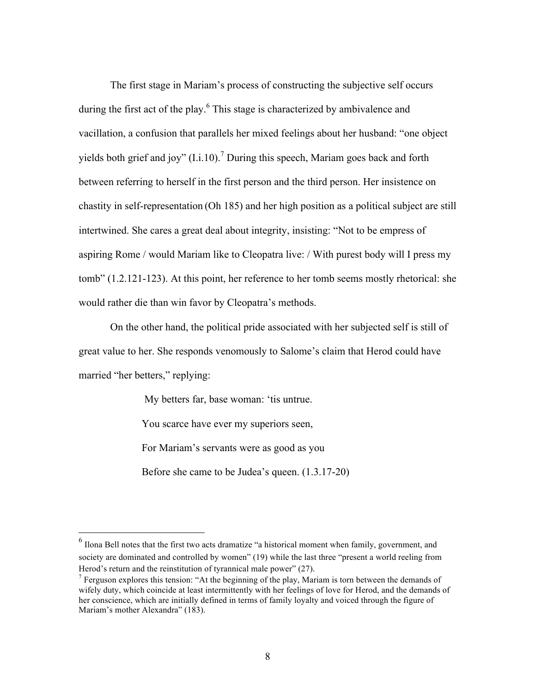The first stage in Mariam's process of constructing the subjective self occurs during the first act of the play.<sup>6</sup> This stage is characterized by ambivalence and vacillation, a confusion that parallels her mixed feelings about her husband: "one object yields both grief and joy"  $(I.i.10)$ .<sup>7</sup> During this speech, Mariam goes back and forth between referring to herself in the first person and the third person. Her insistence on chastity in self-representation (Oh 185) and her high position as a political subject are still intertwined. She cares a great deal about integrity, insisting: "Not to be empress of aspiring Rome / would Mariam like to Cleopatra live: / With purest body will I press my tomb" (1.2.121-123). At this point, her reference to her tomb seems mostly rhetorical: she would rather die than win favor by Cleopatra's methods.

On the other hand, the political pride associated with her subjected self is still of great value to her. She responds venomously to Salome's claim that Herod could have married "her betters," replying:

My betters far, base woman: 'tis untrue.

You scarce have ever my superiors seen,

For Mariam's servants were as good as you

Before she came to be Judea's queen. (1.3.17-20)

 <sup>6</sup> Ilona Bell notes that the first two acts dramatize "a historical moment when family, government, and society are dominated and controlled by women" (19) while the last three "present a world reeling from Herod's return and the reinstitution of tyrannical male power" (27).

<sup>&</sup>lt;sup>7</sup> Ferguson explores this tension: "At the beginning of the play, Mariam is torn between the demands of wifely duty, which coincide at least intermittently with her feelings of love for Herod, and the demands of her conscience, which are initially defined in terms of family loyalty and voiced through the figure of Mariam's mother Alexandra" (183).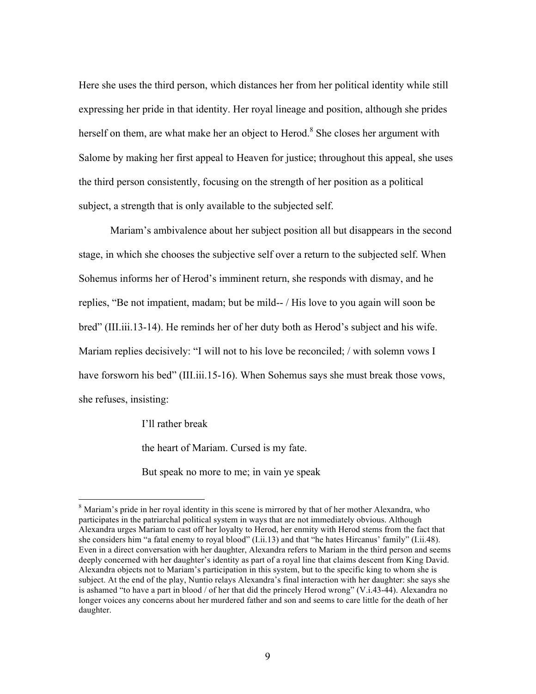Here she uses the third person, which distances her from her political identity while still expressing her pride in that identity. Her royal lineage and position, although she prides herself on them, are what make her an object to Herod.<sup>8</sup> She closes her argument with Salome by making her first appeal to Heaven for justice; throughout this appeal, she uses the third person consistently, focusing on the strength of her position as a political subject, a strength that is only available to the subjected self.

Mariam's ambivalence about her subject position all but disappears in the second stage, in which she chooses the subjective self over a return to the subjected self. When Sohemus informs her of Herod's imminent return, she responds with dismay, and he replies, "Be not impatient, madam; but be mild-- / His love to you again will soon be bred" (III.iii.13-14). He reminds her of her duty both as Herod's subject and his wife. Mariam replies decisively: "I will not to his love be reconciled; / with solemn vows I have forsworn his bed" (III.iii.15-16). When Sohemus says she must break those vows, she refuses, insisting:

I'll rather break

the heart of Mariam. Cursed is my fate.

But speak no more to me; in vain ye speak

<sup>&</sup>lt;sup>8</sup> Mariam's pride in her royal identity in this scene is mirrored by that of her mother Alexandra, who participates in the patriarchal political system in ways that are not immediately obvious. Although Alexandra urges Mariam to cast off her loyalty to Herod, her enmity with Herod stems from the fact that she considers him "a fatal enemy to royal blood" (I.ii.13) and that "he hates Hircanus' family" (I.ii.48). Even in a direct conversation with her daughter, Alexandra refers to Mariam in the third person and seems deeply concerned with her daughter's identity as part of a royal line that claims descent from King David. Alexandra objects not to Mariam's participation in this system, but to the specific king to whom she is subject. At the end of the play, Nuntio relays Alexandra's final interaction with her daughter: she says she is ashamed "to have a part in blood / of her that did the princely Herod wrong" (V.i.43-44). Alexandra no longer voices any concerns about her murdered father and son and seems to care little for the death of her daughter.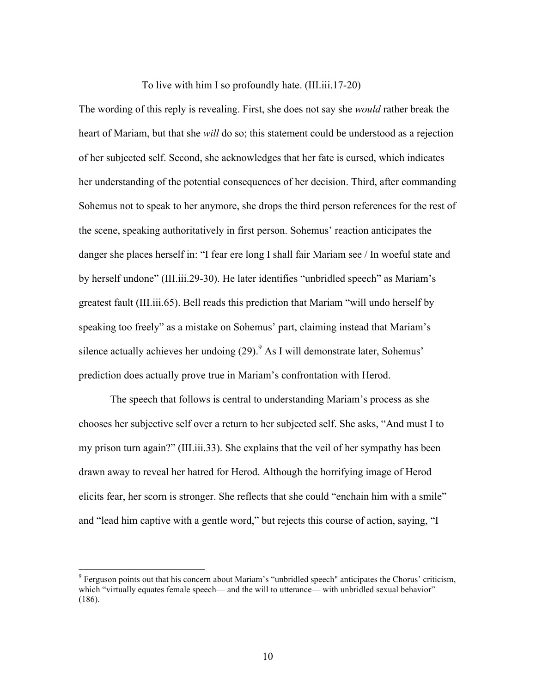To live with him I so profoundly hate. (III.iii.17-20)

The wording of this reply is revealing. First, she does not say she *would* rather break the heart of Mariam, but that she *will* do so; this statement could be understood as a rejection of her subjected self. Second, she acknowledges that her fate is cursed, which indicates her understanding of the potential consequences of her decision. Third, after commanding Sohemus not to speak to her anymore, she drops the third person references for the rest of the scene, speaking authoritatively in first person. Sohemus' reaction anticipates the danger she places herself in: "I fear ere long I shall fair Mariam see / In woeful state and by herself undone" (III.iii.29-30). He later identifies "unbridled speech" as Mariam's greatest fault (III.iii.65). Bell reads this prediction that Mariam "will undo herself by speaking too freely" as a mistake on Sohemus' part, claiming instead that Mariam's silence actually achieves her undoing  $(29)$ . As I will demonstrate later, Sohemus' prediction does actually prove true in Mariam's confrontation with Herod.

The speech that follows is central to understanding Mariam's process as she chooses her subjective self over a return to her subjected self. She asks, "And must I to my prison turn again?" (III.iii.33). She explains that the veil of her sympathy has been drawn away to reveal her hatred for Herod. Although the horrifying image of Herod elicits fear, her scorn is stronger. She reflects that she could "enchain him with a smile" and "lead him captive with a gentle word," but rejects this course of action, saying, "I

 $9$  Ferguson points out that his concern about Mariam's "unbridled speech" anticipates the Chorus' criticism, which "virtually equates female speech— and the will to utterance— with unbridled sexual behavior" (186).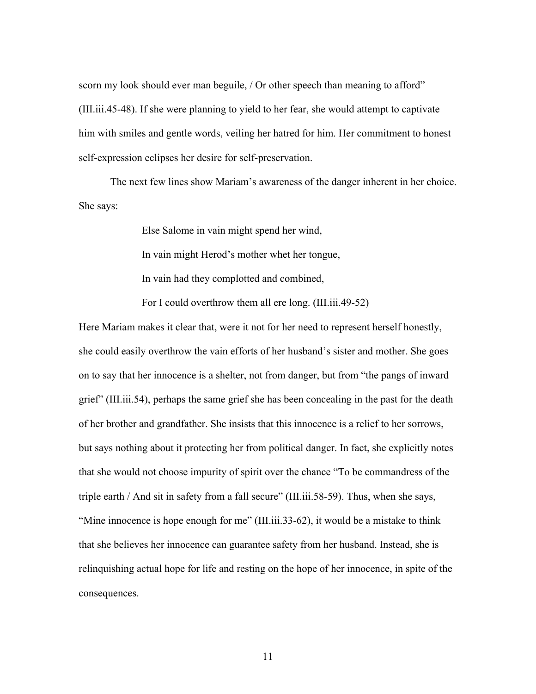scorn my look should ever man beguile, / Or other speech than meaning to afford" (III.iii.45-48). If she were planning to yield to her fear, she would attempt to captivate him with smiles and gentle words, veiling her hatred for him. Her commitment to honest self-expression eclipses her desire for self-preservation.

The next few lines show Mariam's awareness of the danger inherent in her choice. She says:

> Else Salome in vain might spend her wind, In vain might Herod's mother whet her tongue, In vain had they complotted and combined, For I could overthrow them all ere long. (III.iii.49-52)

Here Mariam makes it clear that, were it not for her need to represent herself honestly, she could easily overthrow the vain efforts of her husband's sister and mother. She goes on to say that her innocence is a shelter, not from danger, but from "the pangs of inward grief" (III.iii.54), perhaps the same grief she has been concealing in the past for the death of her brother and grandfather. She insists that this innocence is a relief to her sorrows, but says nothing about it protecting her from political danger. In fact, she explicitly notes that she would not choose impurity of spirit over the chance "To be commandress of the triple earth / And sit in safety from a fall secure" (III.iii.58-59). Thus, when she says, "Mine innocence is hope enough for me" (III.iii.33-62), it would be a mistake to think that she believes her innocence can guarantee safety from her husband. Instead, she is relinquishing actual hope for life and resting on the hope of her innocence, in spite of the consequences.

11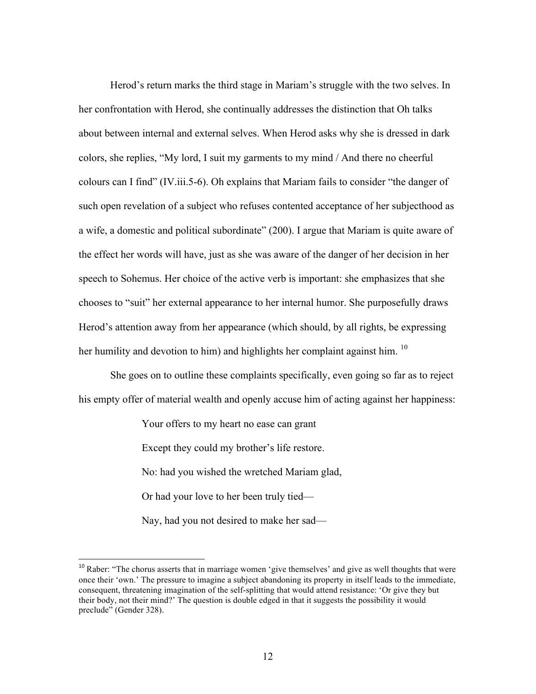Herod's return marks the third stage in Mariam's struggle with the two selves. In her confrontation with Herod, she continually addresses the distinction that Oh talks about between internal and external selves. When Herod asks why she is dressed in dark colors, she replies, "My lord, I suit my garments to my mind / And there no cheerful colours can I find" (IV.iii.5-6). Oh explains that Mariam fails to consider "the danger of such open revelation of a subject who refuses contented acceptance of her subjecthood as a wife, a domestic and political subordinate" (200). I argue that Mariam is quite aware of the effect her words will have, just as she was aware of the danger of her decision in her speech to Sohemus. Her choice of the active verb is important: she emphasizes that she chooses to "suit" her external appearance to her internal humor. She purposefully draws Herod's attention away from her appearance (which should, by all rights, be expressing her humility and devotion to him) and highlights her complaint against him. <sup>10</sup>

She goes on to outline these complaints specifically, even going so far as to reject his empty offer of material wealth and openly accuse him of acting against her happiness:

> Your offers to my heart no ease can grant Except they could my brother's life restore. No: had you wished the wretched Mariam glad, Or had your love to her been truly tied— Nay, had you not desired to make her sad—

<sup>&</sup>lt;sup>10</sup> Raber: "The chorus asserts that in marriage women 'give themselves' and give as well thoughts that were once their 'own.' The pressure to imagine a subject abandoning its property in itself leads to the immediate, consequent, threatening imagination of the self-splitting that would attend resistance: 'Or give they but their body, not their mind?' The question is double edged in that it suggests the possibility it would preclude" (Gender 328).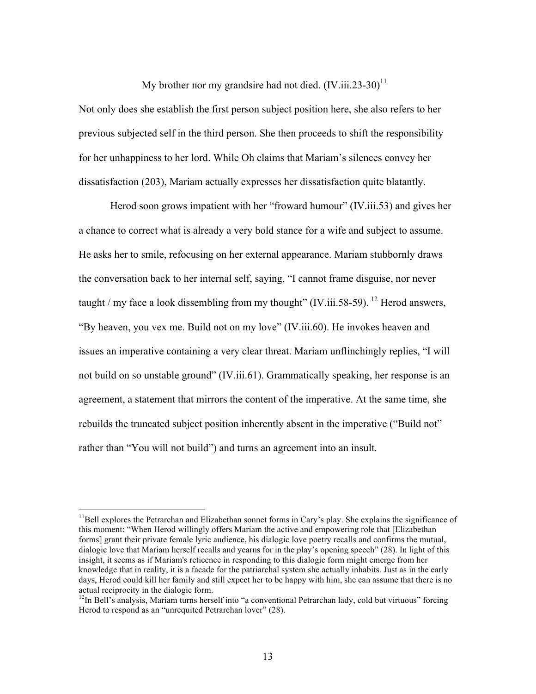My brother nor my grandsire had not died.  $(IV.iii.23-30)^{11}$ 

Not only does she establish the first person subject position here, she also refers to her previous subjected self in the third person. She then proceeds to shift the responsibility for her unhappiness to her lord. While Oh claims that Mariam's silences convey her dissatisfaction (203), Mariam actually expresses her dissatisfaction quite blatantly.

Herod soon grows impatient with her "froward humour" (IV.iii.53) and gives her a chance to correct what is already a very bold stance for a wife and subject to assume. He asks her to smile, refocusing on her external appearance. Mariam stubbornly draws the conversation back to her internal self, saying, "I cannot frame disguise, nor never taught / my face a look dissembling from my thought" (IV.iii.58-59). <sup>12</sup> Herod answers, "By heaven, you vex me. Build not on my love" (IV.iii.60). He invokes heaven and issues an imperative containing a very clear threat. Mariam unflinchingly replies, "I will not build on so unstable ground" (IV.iii.61). Grammatically speaking, her response is an agreement, a statement that mirrors the content of the imperative. At the same time, she rebuilds the truncated subject position inherently absent in the imperative ("Build not" rather than "You will not build") and turns an agreement into an insult.

 $<sup>11</sup>$ Bell explores the Petrarchan and Elizabethan sonnet forms in Cary's play. She explains the significance of</sup> this moment: "When Herod willingly offers Mariam the active and empowering role that [Elizabethan forms] grant their private female lyric audience, his dialogic love poetry recalls and confirms the mutual, dialogic love that Mariam herself recalls and yearns for in the play's opening speech" (28). In light of this insight, it seems as if Mariam's reticence in responding to this dialogic form might emerge from her knowledge that in reality, it is a facade for the patriarchal system she actually inhabits. Just as in the early days, Herod could kill her family and still expect her to be happy with him, she can assume that there is no actual reciprocity in the dialogic form.

 $12$ In Bell's analysis, Mariam turns herself into "a conventional Petrarchan lady, cold but virtuous" forcing Herod to respond as an "unrequited Petrarchan lover" (28).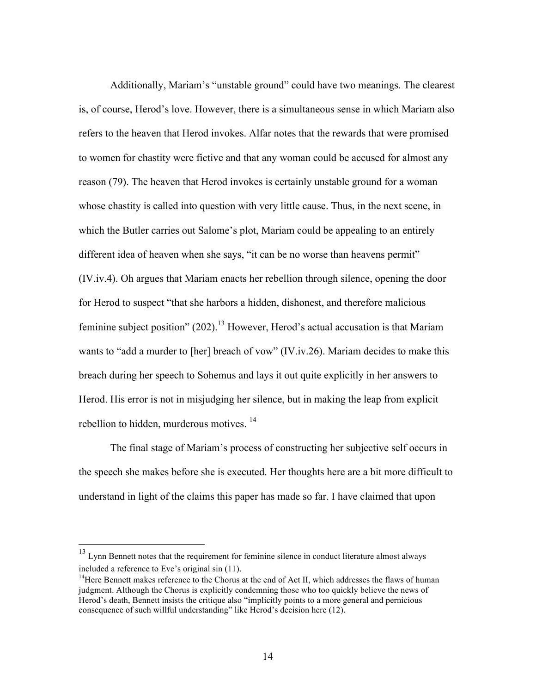Additionally, Mariam's "unstable ground" could have two meanings. The clearest is, of course, Herod's love. However, there is a simultaneous sense in which Mariam also refers to the heaven that Herod invokes. Alfar notes that the rewards that were promised to women for chastity were fictive and that any woman could be accused for almost any reason (79). The heaven that Herod invokes is certainly unstable ground for a woman whose chastity is called into question with very little cause. Thus, in the next scene, in which the Butler carries out Salome's plot, Mariam could be appealing to an entirely different idea of heaven when she says, "it can be no worse than heavens permit" (IV.iv.4). Oh argues that Mariam enacts her rebellion through silence, opening the door for Herod to suspect "that she harbors a hidden, dishonest, and therefore malicious feminine subject position"  $(202)$ <sup>13</sup> However, Herod's actual accusation is that Mariam wants to "add a murder to [her] breach of vow" (IV.iv.26). Mariam decides to make this breach during her speech to Sohemus and lays it out quite explicitly in her answers to Herod. His error is not in misjudging her silence, but in making the leap from explicit rebellion to hidden, murderous motives.<sup>14</sup>

The final stage of Mariam's process of constructing her subjective self occurs in the speech she makes before she is executed. Her thoughts here are a bit more difficult to understand in light of the claims this paper has made so far. I have claimed that upon

 $13$  Lynn Bennett notes that the requirement for feminine silence in conduct literature almost always included a reference to Eve's original sin (11).

 $14$ Here Bennett makes reference to the Chorus at the end of Act II, which addresses the flaws of human judgment. Although the Chorus is explicitly condemning those who too quickly believe the news of Herod's death, Bennett insists the critique also "implicitly points to a more general and pernicious consequence of such willful understanding" like Herod's decision here (12).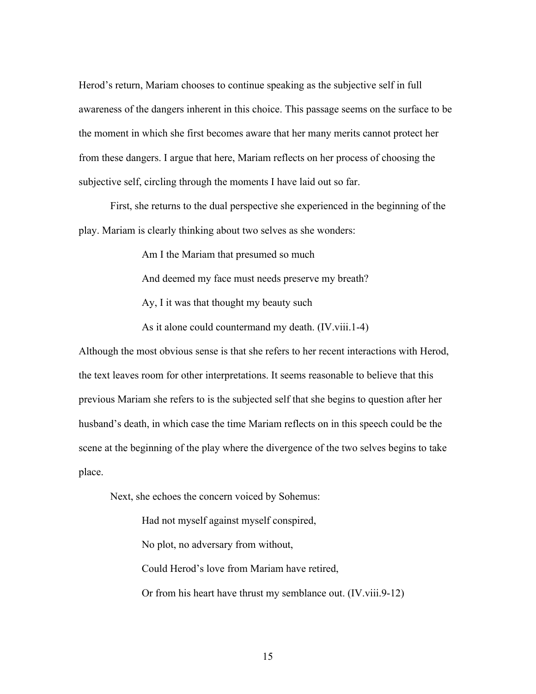Herod's return, Mariam chooses to continue speaking as the subjective self in full awareness of the dangers inherent in this choice. This passage seems on the surface to be the moment in which she first becomes aware that her many merits cannot protect her from these dangers. I argue that here, Mariam reflects on her process of choosing the subjective self, circling through the moments I have laid out so far.

First, she returns to the dual perspective she experienced in the beginning of the play. Mariam is clearly thinking about two selves as she wonders:

Am I the Mariam that presumed so much

And deemed my face must needs preserve my breath?

Ay, I it was that thought my beauty such

As it alone could countermand my death. (IV.viii.1-4)

Although the most obvious sense is that she refers to her recent interactions with Herod, the text leaves room for other interpretations. It seems reasonable to believe that this previous Mariam she refers to is the subjected self that she begins to question after her husband's death, in which case the time Mariam reflects on in this speech could be the scene at the beginning of the play where the divergence of the two selves begins to take place.

Next, she echoes the concern voiced by Sohemus:

Had not myself against myself conspired, No plot, no adversary from without, Could Herod's love from Mariam have retired, Or from his heart have thrust my semblance out. (IV.viii.9-12)

15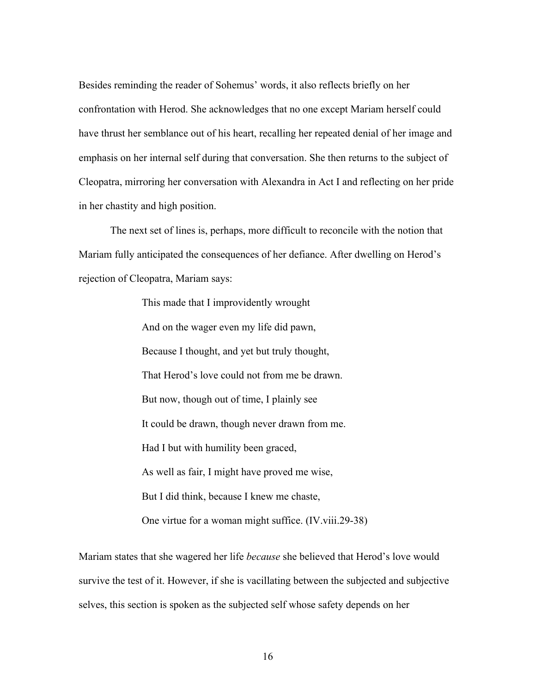Besides reminding the reader of Sohemus' words, it also reflects briefly on her confrontation with Herod. She acknowledges that no one except Mariam herself could have thrust her semblance out of his heart, recalling her repeated denial of her image and emphasis on her internal self during that conversation. She then returns to the subject of Cleopatra, mirroring her conversation with Alexandra in Act I and reflecting on her pride in her chastity and high position.

The next set of lines is, perhaps, more difficult to reconcile with the notion that Mariam fully anticipated the consequences of her defiance. After dwelling on Herod's rejection of Cleopatra, Mariam says:

> This made that I improvidently wrought And on the wager even my life did pawn, Because I thought, and yet but truly thought, That Herod's love could not from me be drawn. But now, though out of time, I plainly see It could be drawn, though never drawn from me. Had I but with humility been graced, As well as fair, I might have proved me wise, But I did think, because I knew me chaste, One virtue for a woman might suffice. (IV.viii.29-38)

Mariam states that she wagered her life *because* she believed that Herod's love would survive the test of it. However, if she is vacillating between the subjected and subjective selves, this section is spoken as the subjected self whose safety depends on her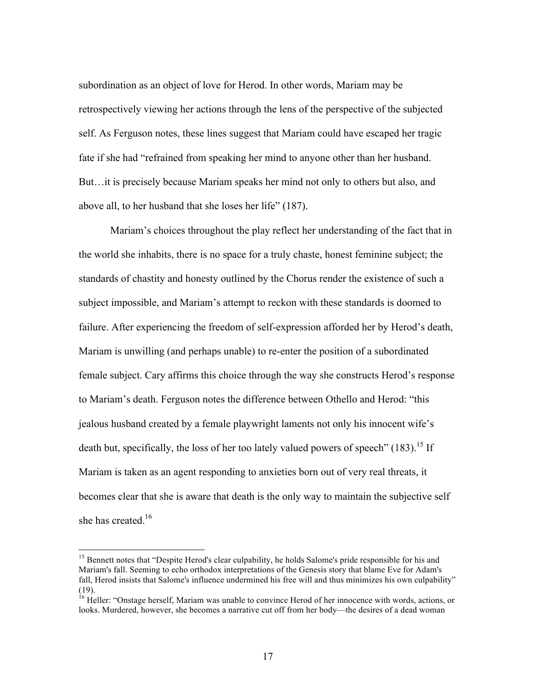subordination as an object of love for Herod. In other words, Mariam may be retrospectively viewing her actions through the lens of the perspective of the subjected self. As Ferguson notes, these lines suggest that Mariam could have escaped her tragic fate if she had "refrained from speaking her mind to anyone other than her husband. But…it is precisely because Mariam speaks her mind not only to others but also, and above all, to her husband that she loses her life" (187).

Mariam's choices throughout the play reflect her understanding of the fact that in the world she inhabits, there is no space for a truly chaste, honest feminine subject; the standards of chastity and honesty outlined by the Chorus render the existence of such a subject impossible, and Mariam's attempt to reckon with these standards is doomed to failure. After experiencing the freedom of self-expression afforded her by Herod's death, Mariam is unwilling (and perhaps unable) to re-enter the position of a subordinated female subject. Cary affirms this choice through the way she constructs Herod's response to Mariam's death. Ferguson notes the difference between Othello and Herod: "this jealous husband created by a female playwright laments not only his innocent wife's death but, specifically, the loss of her too lately valued powers of speech" (183).<sup>15</sup> If Mariam is taken as an agent responding to anxieties born out of very real threats, it becomes clear that she is aware that death is the only way to maintain the subjective self she has created. $16$ 

<sup>&</sup>lt;sup>15</sup> Bennett notes that "Despite Herod's clear culpability, he holds Salome's pride responsible for his and Mariam's fall. Seeming to echo orthodox interpretations of the Genesis story that blame Eve for Adam's fall, Herod insists that Salome's influence undermined his free will and thus minimizes his own culpability" (19).

<sup>&</sup>lt;sup>16</sup> Heller: "Onstage herself, Mariam was unable to convince Herod of her innocence with words, actions, or looks. Murdered, however, she becomes a narrative cut off from her body—the desires of a dead woman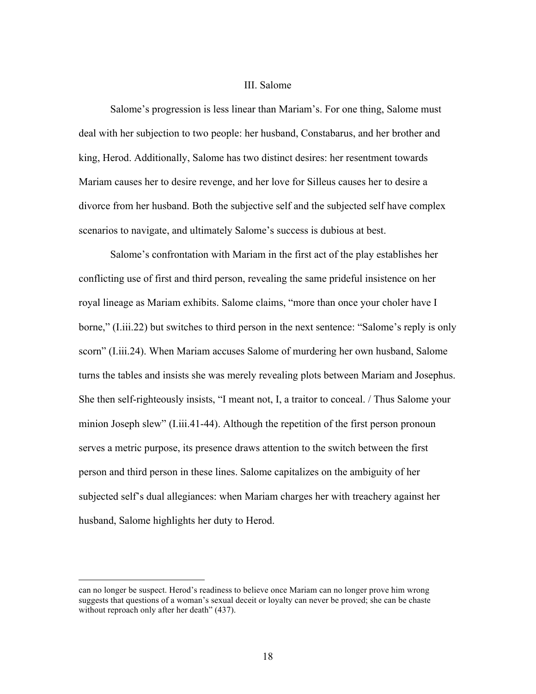#### III. Salome

Salome's progression is less linear than Mariam's. For one thing, Salome must deal with her subjection to two people: her husband, Constabarus, and her brother and king, Herod. Additionally, Salome has two distinct desires: her resentment towards Mariam causes her to desire revenge, and her love for Silleus causes her to desire a divorce from her husband. Both the subjective self and the subjected self have complex scenarios to navigate, and ultimately Salome's success is dubious at best.

Salome's confrontation with Mariam in the first act of the play establishes her conflicting use of first and third person, revealing the same prideful insistence on her royal lineage as Mariam exhibits. Salome claims, "more than once your choler have I borne," (I.iii.22) but switches to third person in the next sentence: "Salome's reply is only scorn" (I.iii.24). When Mariam accuses Salome of murdering her own husband, Salome turns the tables and insists she was merely revealing plots between Mariam and Josephus. She then self-righteously insists, "I meant not, I, a traitor to conceal. / Thus Salome your minion Joseph slew" (I.iii.41-44). Although the repetition of the first person pronoun serves a metric purpose, its presence draws attention to the switch between the first person and third person in these lines. Salome capitalizes on the ambiguity of her subjected self's dual allegiances: when Mariam charges her with treachery against her husband, Salome highlights her duty to Herod.

can no longer be suspect. Herod's readiness to believe once Mariam can no longer prove him wrong suggests that questions of a woman's sexual deceit or loyalty can never be proved; she can be chaste without reproach only after her death" (437).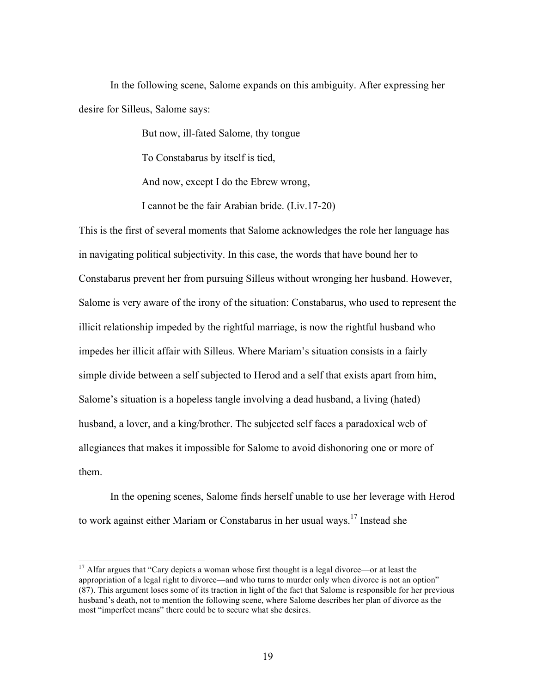In the following scene, Salome expands on this ambiguity. After expressing her desire for Silleus, Salome says:

But now, ill-fated Salome, thy tongue

To Constabarus by itself is tied,

And now, except I do the Ebrew wrong,

I cannot be the fair Arabian bride. (I.iv.17-20)

This is the first of several moments that Salome acknowledges the role her language has in navigating political subjectivity. In this case, the words that have bound her to Constabarus prevent her from pursuing Silleus without wronging her husband. However, Salome is very aware of the irony of the situation: Constabarus, who used to represent the illicit relationship impeded by the rightful marriage, is now the rightful husband who impedes her illicit affair with Silleus. Where Mariam's situation consists in a fairly simple divide between a self subjected to Herod and a self that exists apart from him, Salome's situation is a hopeless tangle involving a dead husband, a living (hated) husband, a lover, and a king/brother. The subjected self faces a paradoxical web of allegiances that makes it impossible for Salome to avoid dishonoring one or more of them.

In the opening scenes, Salome finds herself unable to use her leverage with Herod to work against either Mariam or Constabarus in her usual ways.<sup>17</sup> Instead she

<sup>&</sup>lt;sup>17</sup> Alfar argues that "Cary depicts a woman whose first thought is a legal divorce—or at least the appropriation of a legal right to divorce—and who turns to murder only when divorce is not an option" (87). This argument loses some of its traction in light of the fact that Salome is responsible for her previous husband's death, not to mention the following scene, where Salome describes her plan of divorce as the most "imperfect means" there could be to secure what she desires.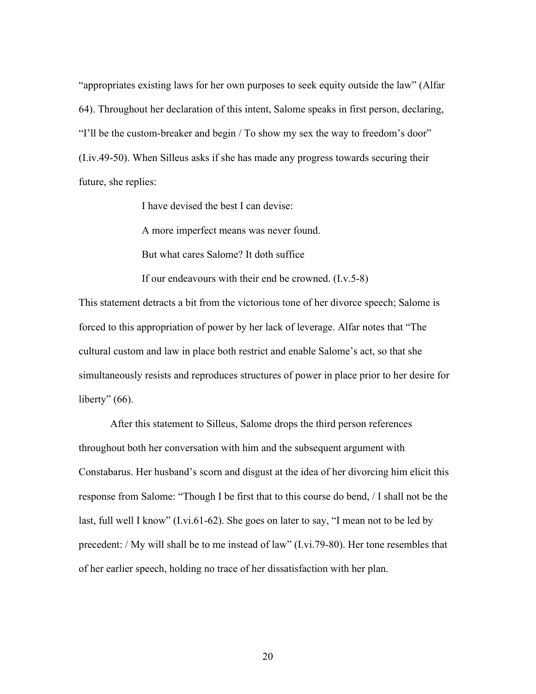"appropriates existing laws for her own purposes to seek equity outside the law" (Alfar 64). Throughout her declaration of this intent, Salome speaks in first person, declaring, "I'll be the custom-breaker and begin / To show my sex the way to freedom's door" (I.iv.49-50). When Silleus asks if she has made any progress towards securing their future, she replies:

I have devised the best I can devise:

A more imperfect means was never found.

But what cares Salome? It doth suffice

If our endeavours with their end be crowned. (I.v.5-8)

This statement detracts a bit from the victorious tone of her divorce speech; Salome is forced to this appropriation of power by her lack of leverage. Alfar notes that "The cultural custom and law in place both restrict and enable Salome's act, so that she simultaneously resists and reproduces structures of power in place prior to her desire for liberty"  $(66)$ .

After this statement to Silleus, Salome drops the third person references throughout both her conversation with him and the subsequent argument with Constabarus. Her husband's scorn and disgust at the idea of her divorcing him elicit this response from Salome: "Though I be first that to this course do bend, / I shall not be the last, full well I know" (I.vi.61-62). She goes on later to say, "I mean not to be led by precedent: / My will shall be to me instead of law" (I.vi.79-80). Her tone resembles that of her earlier speech, holding no trace of her dissatisfaction with her plan.

20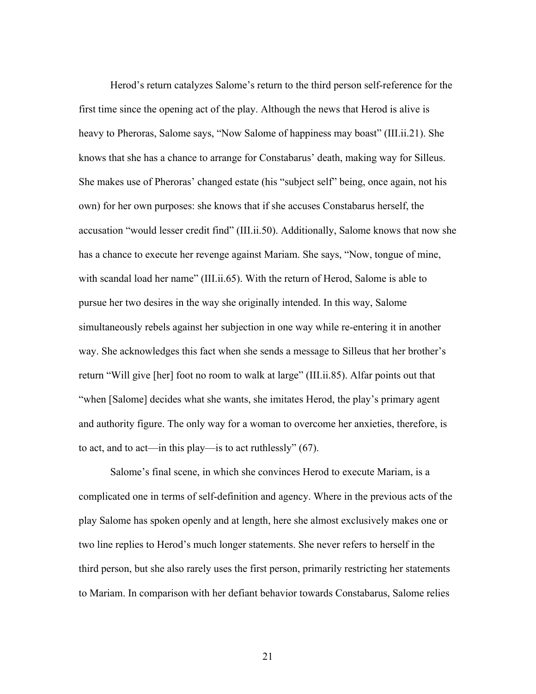Herod's return catalyzes Salome's return to the third person self-reference for the first time since the opening act of the play. Although the news that Herod is alive is heavy to Pheroras, Salome says, "Now Salome of happiness may boast" (III.ii.21). She knows that she has a chance to arrange for Constabarus' death, making way for Silleus. She makes use of Pheroras' changed estate (his "subject self" being, once again, not his own) for her own purposes: she knows that if she accuses Constabarus herself, the accusation "would lesser credit find" (III.ii.50). Additionally, Salome knows that now she has a chance to execute her revenge against Mariam. She says, "Now, tongue of mine, with scandal load her name" (III.ii.65). With the return of Herod, Salome is able to pursue her two desires in the way she originally intended. In this way, Salome simultaneously rebels against her subjection in one way while re-entering it in another way. She acknowledges this fact when she sends a message to Silleus that her brother's return "Will give [her] foot no room to walk at large" (III.ii.85). Alfar points out that "when [Salome] decides what she wants, she imitates Herod, the play's primary agent and authority figure. The only way for a woman to overcome her anxieties, therefore, is to act, and to act—in this play—is to act ruthlessly" (67).

Salome's final scene, in which she convinces Herod to execute Mariam, is a complicated one in terms of self-definition and agency. Where in the previous acts of the play Salome has spoken openly and at length, here she almost exclusively makes one or two line replies to Herod's much longer statements. She never refers to herself in the third person, but she also rarely uses the first person, primarily restricting her statements to Mariam. In comparison with her defiant behavior towards Constabarus, Salome relies

21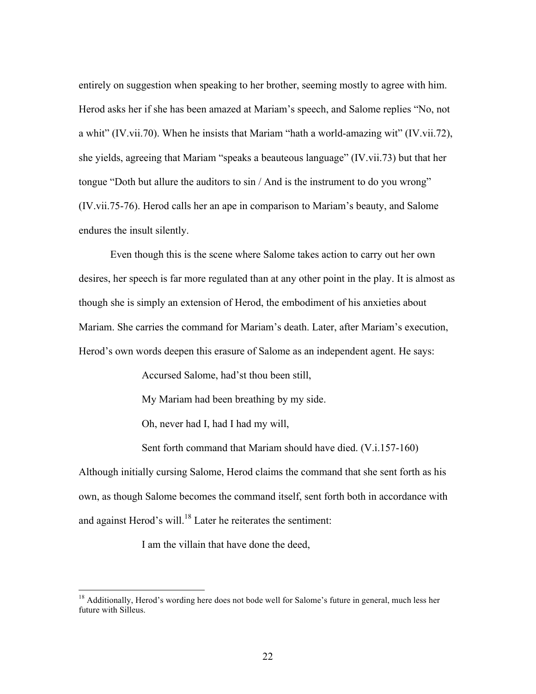entirely on suggestion when speaking to her brother, seeming mostly to agree with him. Herod asks her if she has been amazed at Mariam's speech, and Salome replies "No, not a whit" (IV.vii.70). When he insists that Mariam "hath a world-amazing wit" (IV.vii.72), she yields, agreeing that Mariam "speaks a beauteous language" (IV.vii.73) but that her tongue "Doth but allure the auditors to sin / And is the instrument to do you wrong" (IV.vii.75-76). Herod calls her an ape in comparison to Mariam's beauty, and Salome endures the insult silently.

Even though this is the scene where Salome takes action to carry out her own desires, her speech is far more regulated than at any other point in the play. It is almost as though she is simply an extension of Herod, the embodiment of his anxieties about Mariam. She carries the command for Mariam's death. Later, after Mariam's execution, Herod's own words deepen this erasure of Salome as an independent agent. He says:

Accursed Salome, had'st thou been still,

My Mariam had been breathing by my side.

Oh, never had I, had I had my will,

Sent forth command that Mariam should have died. (V.i.157-160)

Although initially cursing Salome, Herod claims the command that she sent forth as his own, as though Salome becomes the command itself, sent forth both in accordance with and against Herod's will.<sup>18</sup> Later he reiterates the sentiment:

I am the villain that have done the deed,

<sup>&</sup>lt;sup>18</sup> Additionally, Herod's wording here does not bode well for Salome's future in general, much less her future with Silleus.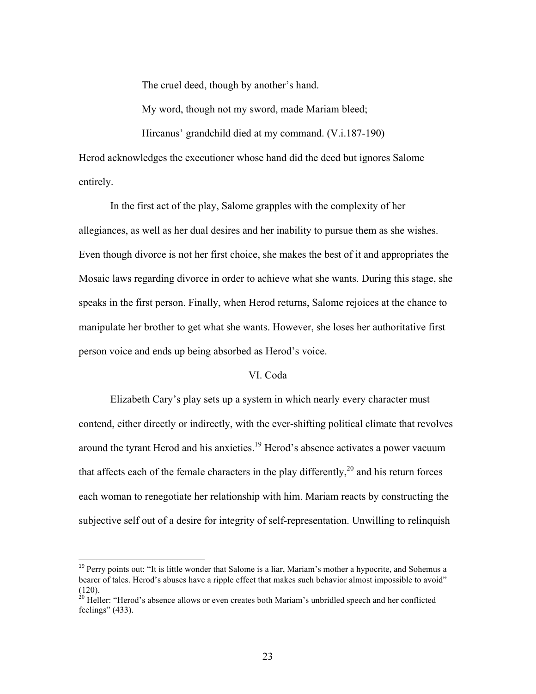The cruel deed, though by another's hand.

My word, though not my sword, made Mariam bleed;

Hircanus' grandchild died at my command. (V.i.187-190)

Herod acknowledges the executioner whose hand did the deed but ignores Salome entirely.

In the first act of the play, Salome grapples with the complexity of her allegiances, as well as her dual desires and her inability to pursue them as she wishes. Even though divorce is not her first choice, she makes the best of it and appropriates the Mosaic laws regarding divorce in order to achieve what she wants. During this stage, she speaks in the first person. Finally, when Herod returns, Salome rejoices at the chance to manipulate her brother to get what she wants. However, she loses her authoritative first person voice and ends up being absorbed as Herod's voice.

#### VI. Coda

Elizabeth Cary's play sets up a system in which nearly every character must contend, either directly or indirectly, with the ever-shifting political climate that revolves around the tyrant Herod and his anxieties.<sup>19</sup> Herod's absence activates a power vacuum that affects each of the female characters in the play differently,<sup>20</sup> and his return forces each woman to renegotiate her relationship with him. Mariam reacts by constructing the subjective self out of a desire for integrity of self-representation. Unwilling to relinquish

<sup>&</sup>lt;sup>19</sup> Perry points out: "It is little wonder that Salome is a liar, Mariam's mother a hypocrite, and Sohemus a bearer of tales. Herod's abuses have a ripple effect that makes such behavior almost impossible to avoid" (120).

 $20$  Heller: "Herod's absence allows or even creates both Mariam's unbridled speech and her conflicted feelings" (433).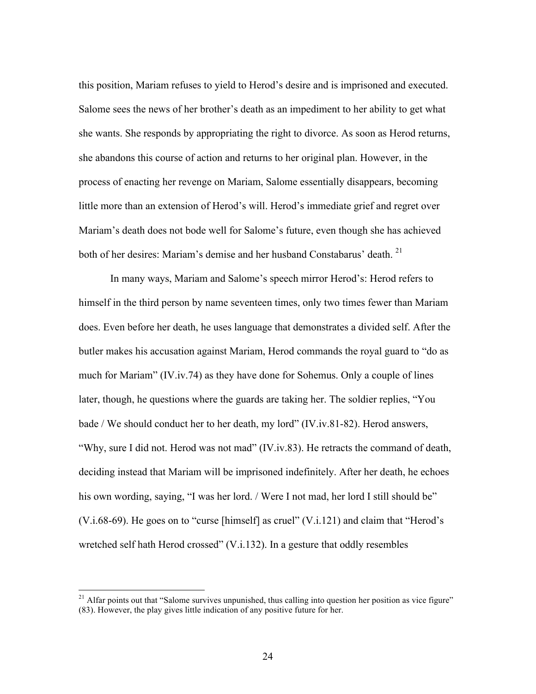this position, Mariam refuses to yield to Herod's desire and is imprisoned and executed. Salome sees the news of her brother's death as an impediment to her ability to get what she wants. She responds by appropriating the right to divorce. As soon as Herod returns, she abandons this course of action and returns to her original plan. However, in the process of enacting her revenge on Mariam, Salome essentially disappears, becoming little more than an extension of Herod's will. Herod's immediate grief and regret over Mariam's death does not bode well for Salome's future, even though she has achieved both of her desires: Mariam's demise and her husband Constabarus' death.<sup>21</sup>

In many ways, Mariam and Salome's speech mirror Herod's: Herod refers to himself in the third person by name seventeen times, only two times fewer than Mariam does. Even before her death, he uses language that demonstrates a divided self. After the butler makes his accusation against Mariam, Herod commands the royal guard to "do as much for Mariam" (IV.iv.74) as they have done for Sohemus. Only a couple of lines later, though, he questions where the guards are taking her. The soldier replies, "You bade / We should conduct her to her death, my lord" (IV.iv.81-82). Herod answers, "Why, sure I did not. Herod was not mad" (IV.iv.83). He retracts the command of death, deciding instead that Mariam will be imprisoned indefinitely. After her death, he echoes his own wording, saying, "I was her lord. / Were I not mad, her lord I still should be" (V.i.68-69). He goes on to "curse [himself] as cruel" (V.i.121) and claim that "Herod's wretched self hath Herod crossed" (V.i.132). In a gesture that oddly resembles

 $21$  Alfar points out that "Salome survives unpunished, thus calling into question her position as vice figure" (83). However, the play gives little indication of any positive future for her.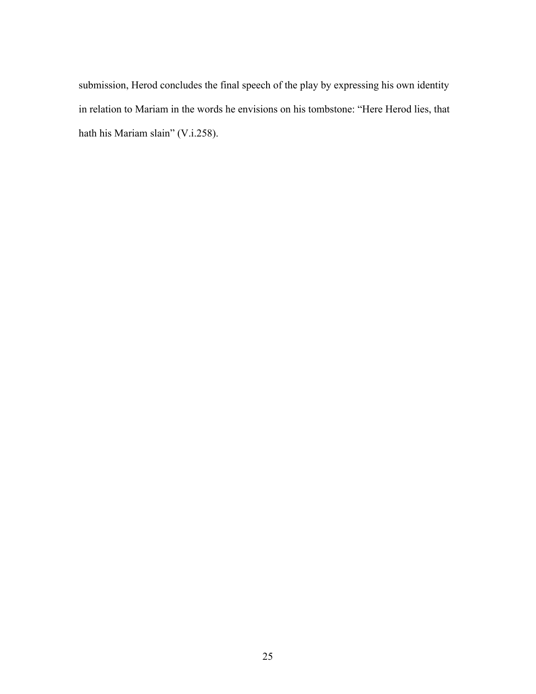submission, Herod concludes the final speech of the play by expressing his own identity in relation to Mariam in the words he envisions on his tombstone: "Here Herod lies, that hath his Mariam slain" (V.i.258).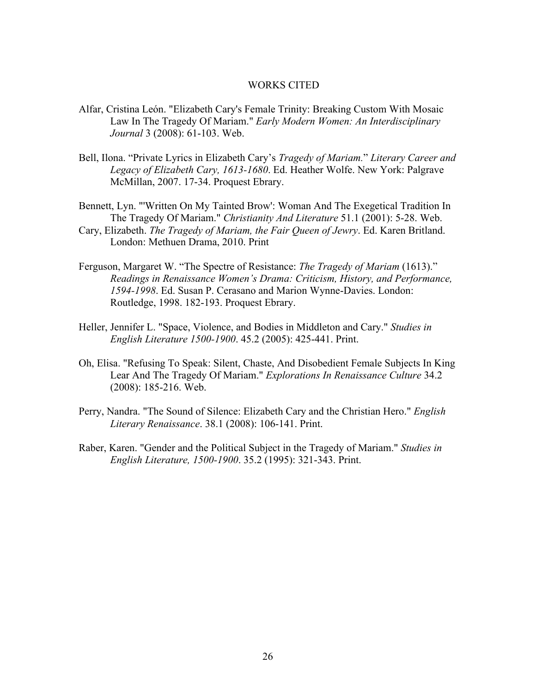#### WORKS CITED

- Alfar, Cristina León. "Elizabeth Cary's Female Trinity: Breaking Custom With Mosaic Law In The Tragedy Of Mariam." *Early Modern Women: An Interdisciplinary Journal* 3 (2008): 61-103. Web.
- Bell, Ilona. "Private Lyrics in Elizabeth Cary's *Tragedy of Mariam.*" *Literary Career and Legacy of Elizabeth Cary, 1613-1680*. Ed. Heather Wolfe. New York: Palgrave McMillan, 2007. 17-34. Proquest Ebrary.

Bennett, Lyn. "'Written On My Tainted Brow': Woman And The Exegetical Tradition In The Tragedy Of Mariam." *Christianity And Literature* 51.1 (2001): 5-28. Web.

- Cary, Elizabeth. *The Tragedy of Mariam, the Fair Queen of Jewry*. Ed. Karen Britland. London: Methuen Drama, 2010. Print
- Ferguson, Margaret W. "The Spectre of Resistance: *The Tragedy of Mariam* (1613)." *Readings in Renaissance Women's Drama: Criticism, History, and Performance, 1594-1998*. Ed. Susan P. Cerasano and Marion Wynne-Davies. London: Routledge, 1998. 182-193. Proquest Ebrary.
- Heller, Jennifer L. "Space, Violence, and Bodies in Middleton and Cary." *Studies in English Literature 1500-1900*. 45.2 (2005): 425-441. Print.
- Oh, Elisa. "Refusing To Speak: Silent, Chaste, And Disobedient Female Subjects In King Lear And The Tragedy Of Mariam." *Explorations In Renaissance Culture* 34.2 (2008): 185-216. Web.
- Perry, Nandra. "The Sound of Silence: Elizabeth Cary and the Christian Hero." *English Literary Renaissance*. 38.1 (2008): 106-141. Print.
- Raber, Karen. "Gender and the Political Subject in the Tragedy of Mariam." *Studies in English Literature, 1500-1900*. 35.2 (1995): 321-343. Print.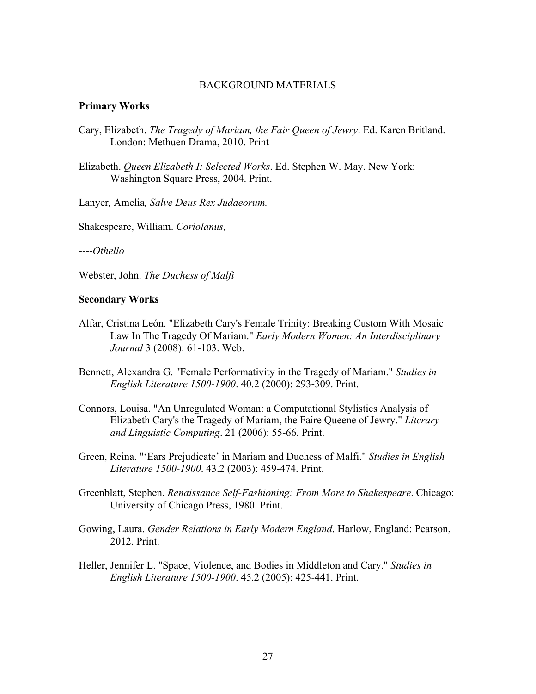#### BACKGROUND MATERIALS

### **Primary Works**

- Cary, Elizabeth. *The Tragedy of Mariam, the Fair Queen of Jewry*. Ed. Karen Britland. London: Methuen Drama, 2010. Print
- Elizabeth. *Queen Elizabeth I: Selected Works*. Ed. Stephen W. May. New York: Washington Square Press, 2004. Print.

Lanyer*,* Amelia*, Salve Deus Rex Judaeorum.*

Shakespeare, William. *Coriolanus,* 

----*Othello*

Webster, John. *The Duchess of Malfi*

#### **Secondary Works**

- Alfar, Cristina León. "Elizabeth Cary's Female Trinity: Breaking Custom With Mosaic Law In The Tragedy Of Mariam." *Early Modern Women: An Interdisciplinary Journal* 3 (2008): 61-103. Web.
- Bennett, Alexandra G. "Female Performativity in the Tragedy of Mariam." *Studies in English Literature 1500-1900*. 40.2 (2000): 293-309. Print.
- Connors, Louisa. "An Unregulated Woman: a Computational Stylistics Analysis of Elizabeth Cary's the Tragedy of Mariam, the Faire Queene of Jewry." *Literary and Linguistic Computing*. 21 (2006): 55-66. Print.
- Green, Reina. "'Ears Prejudicate' in Mariam and Duchess of Malfi." *Studies in English Literature 1500-1900*. 43.2 (2003): 459-474. Print.
- Greenblatt, Stephen. *Renaissance Self-Fashioning: From More to Shakespeare*. Chicago: University of Chicago Press, 1980. Print.
- Gowing, Laura. *Gender Relations in Early Modern England*. Harlow, England: Pearson, 2012. Print.
- Heller, Jennifer L. "Space, Violence, and Bodies in Middleton and Cary." *Studies in English Literature 1500-1900*. 45.2 (2005): 425-441. Print.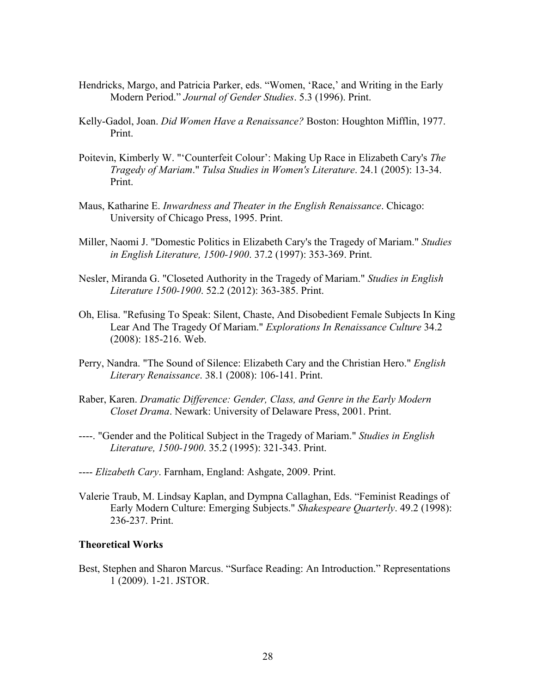- Hendricks, Margo, and Patricia Parker, eds. "Women, 'Race,' and Writing in the Early Modern Period." *Journal of Gender Studies*. 5.3 (1996). Print.
- Kelly-Gadol, Joan. *Did Women Have a Renaissance?* Boston: Houghton Mifflin, 1977. Print.
- Poitevin, Kimberly W. "'Counterfeit Colour': Making Up Race in Elizabeth Cary's *The Tragedy of Mariam*." *Tulsa Studies in Women's Literature*. 24.1 (2005): 13-34. Print.
- Maus, Katharine E. *Inwardness and Theater in the English Renaissance*. Chicago: University of Chicago Press, 1995. Print.
- Miller, Naomi J. "Domestic Politics in Elizabeth Cary's the Tragedy of Mariam." *Studies in English Literature, 1500-1900*. 37.2 (1997): 353-369. Print.
- Nesler, Miranda G. "Closeted Authority in the Tragedy of Mariam." *Studies in English Literature 1500-1900*. 52.2 (2012): 363-385. Print.
- Oh, Elisa. "Refusing To Speak: Silent, Chaste, And Disobedient Female Subjects In King Lear And The Tragedy Of Mariam." *Explorations In Renaissance Culture* 34.2 (2008): 185-216. Web.
- Perry, Nandra. "The Sound of Silence: Elizabeth Cary and the Christian Hero." *English Literary Renaissance*. 38.1 (2008): 106-141. Print.
- Raber, Karen. *Dramatic Difference: Gender, Class, and Genre in the Early Modern Closet Drama*. Newark: University of Delaware Press, 2001. Print.
- ----. "Gender and the Political Subject in the Tragedy of Mariam." *Studies in English Literature, 1500-1900*. 35.2 (1995): 321-343. Print.
- ---- *Elizabeth Cary*. Farnham, England: Ashgate, 2009. Print.
- Valerie Traub, M. Lindsay Kaplan, and Dympna Callaghan, Eds. "Feminist Readings of Early Modern Culture: Emerging Subjects." *Shakespeare Quarterly*. 49.2 (1998): 236-237. Print.

## **Theoretical Works**

Best, Stephen and Sharon Marcus. "Surface Reading: An Introduction." Representations 1 (2009). 1-21. JSTOR.